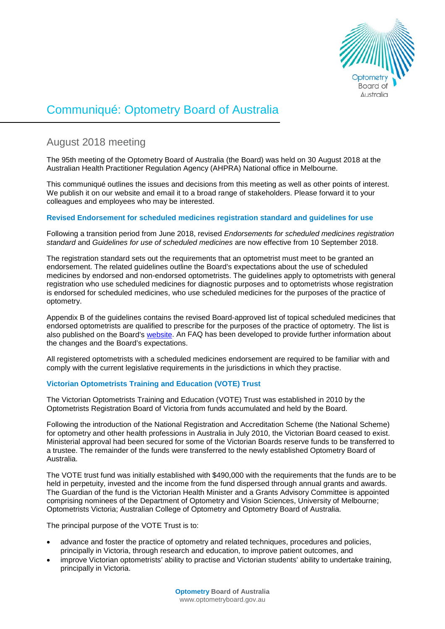

# Communiqué: Optometry Board of Australia

# August 2018 meeting

The 95th meeting of the Optometry Board of Australia (the Board) was held on 30 August 2018 at the Australian Health Practitioner Regulation Agency (AHPRA) National office in Melbourne.

This communiqué outlines the issues and decisions from this meeting as well as other points of interest. We publish it on our website and email it to a broad range of stakeholders. Please forward it to your colleagues and employees who may be interested.

# **Revised Endorsement for scheduled medicines registration standard and guidelines for use**

Following a transition period from June 2018, revised *Endorsements for scheduled medicines registration standard* and *Guidelines for use of scheduled medicines* are now effective from 10 September 2018.

The registration standard sets out the requirements that an optometrist must meet to be granted an endorsement. The related guidelines outline the Board's expectations about the use of scheduled medicines by endorsed and non-endorsed optometrists. The guidelines apply to optometrists with general registration who use scheduled medicines for diagnostic purposes and to optometrists whose registration is endorsed for scheduled medicines, who use scheduled medicines for the purposes of the practice of optometry.

Appendix B of the guidelines contains the revised Board-approved list of topical scheduled medicines that endorsed optometrists are qualified to prescribe for the purposes of the practice of optometry. The list is also published on the Board's [website.](https://www.optometryboard.gov.au/Registration-Standards/Endorsement-for-scheduled-medicines/Board-approved-scheduled-medicines-list-for-endorsed-optometrists.aspx) An FAQ has been developed to provide further information about the changes and the Board's expectations.

All registered optometrists with a scheduled medicines endorsement are required to be familiar with and comply with the current legislative requirements in the jurisdictions in which they practise.

# **Victorian Optometrists Training and Education (VOTE) Trust**

The Victorian Optometrists Training and Education (VOTE) Trust was established in 2010 by the Optometrists Registration Board of Victoria from funds accumulated and held by the Board.

Following the introduction of the National Registration and Accreditation Scheme (the National Scheme) for optometry and other health professions in Australia in July 2010, the Victorian Board ceased to exist. Ministerial approval had been secured for some of the Victorian Boards reserve funds to be transferred to a trustee. The remainder of the funds were transferred to the newly established Optometry Board of Australia.

The VOTE trust fund was initially established with \$490,000 with the requirements that the funds are to be held in perpetuity, invested and the income from the fund dispersed through annual grants and awards. The Guardian of the fund is the Victorian Health Minister and a Grants Advisory Committee is appointed comprising nominees of the Department of Optometry and Vision Sciences, University of Melbourne; Optometrists Victoria; Australian College of Optometry and Optometry Board of Australia.

The principal purpose of the VOTE Trust is to:

- advance and foster the practice of optometry and related techniques, procedures and policies, principally in Victoria, through research and education, to improve patient outcomes, and
- improve Victorian optometrists' ability to practise and Victorian students' ability to undertake training, principally in Victoria.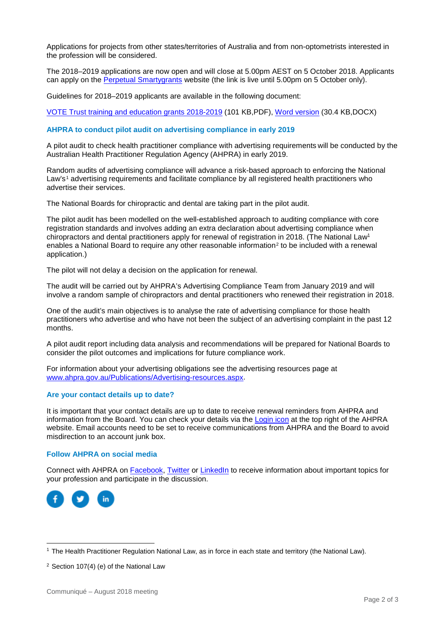Applications for projects from other states/territories of Australia and from non-optometrists interested in the profession will be considered.

The 2018–2019 applications are now open and will close at 5.00pm AEST on 5 October 2018. Applicants can apply on the [Perpetual Smartygrants](https://perpetual.smartygrants.com.au/vote2018) website (the link is live until 5.00pm on 5 October only).

Guidelines for 2018–2019 applicants are available in the following document:

[VOTE Trust training and education grants 2018-2019](https://www.optometryboard.gov.au/documents/default.aspx?record=WD16%2f21131&dbid=AP&chksum=8g2jQmcHNLj8%2bpIN%2f%2byZMA%3d%3d) (101 KB,PDF), [Word version](https://www.optometryboard.gov.au/documents/default.aspx?record=WD16%2f21130&dbid=AP&chksum=NAeQD8lRwqneG7apC%2blQMA%3d%3d) (30.4 KB,DOCX)

#### **AHPRA to conduct pilot audit on advertising compliance in early 2019**

A pilot audit to check health practitioner compliance with advertising requirements will be conducted by the Australian Health Practitioner Regulation Agency (AHPRA) in early 2019.

Random audits of advertising compliance will advance a risk-based approach to enforcing the National Law's<sup>[1](#page-1-0)</sup> advertising requirements and facilitate compliance by all registered health practitioners who advertise their services.

The National Boards for chiropractic and dental are taking part in the pilot audit.

The pilot audit has been modelled on the well-established approach to auditing compliance with core registration standards and involves adding an extra declaration about advertising compliance when chiropractors and dental practitioners apply for renewal of registration in 2018. (The National Law1 enables a National Board to require any other reasonable information<sup>[2](#page-1-1)</sup> to be included with a renewal application.)

The pilot will not delay a decision on the application for renewal.

The audit will be carried out by AHPRA's Advertising Compliance Team from January 2019 and will involve a random sample of chiropractors and dental practitioners who renewed their registration in 2018.

One of the audit's main objectives is to analyse the rate of advertising compliance for those health practitioners who advertise and who have not been the subject of an advertising complaint in the past 12 months.

A pilot audit report including data analysis and recommendations will be prepared for National Boards to consider the pilot outcomes and implications for future compliance work.

For information about your advertising obligations see the advertising resources page at [www.ahpra.gov.au/Publications/Advertising-resources.aspx.](http://www.ahpra.gov.au/Publications/Advertising-resources.aspx)

#### **Are your contact details up to date?**

It is important that your contact details are up to date to receive renewal reminders from AHPRA and information from the Board. You can check your details via the [Login icon](https://www.ahpra.gov.au/) at the top right of the AHPRA website. Email accounts need to be set to receive communications from AHPRA and the Board to avoid misdirection to an account junk box.

## **Follow AHPRA on social media**

Connect with AHPRA on **Facebook, [Twitter](https://twitter.com/AHPRA) or [LinkedIn](https://www.linkedin.com/company/australian-health-practitioner-regulation-agency)** to receive information about important topics for your profession and participate in the discussion.



<span id="page-1-0"></span> <sup>1</sup> The Health Practitioner Regulation National Law, as in force in each state and territory (the National Law).

<span id="page-1-1"></span><sup>2</sup> Section 107(4) (e) of the National Law